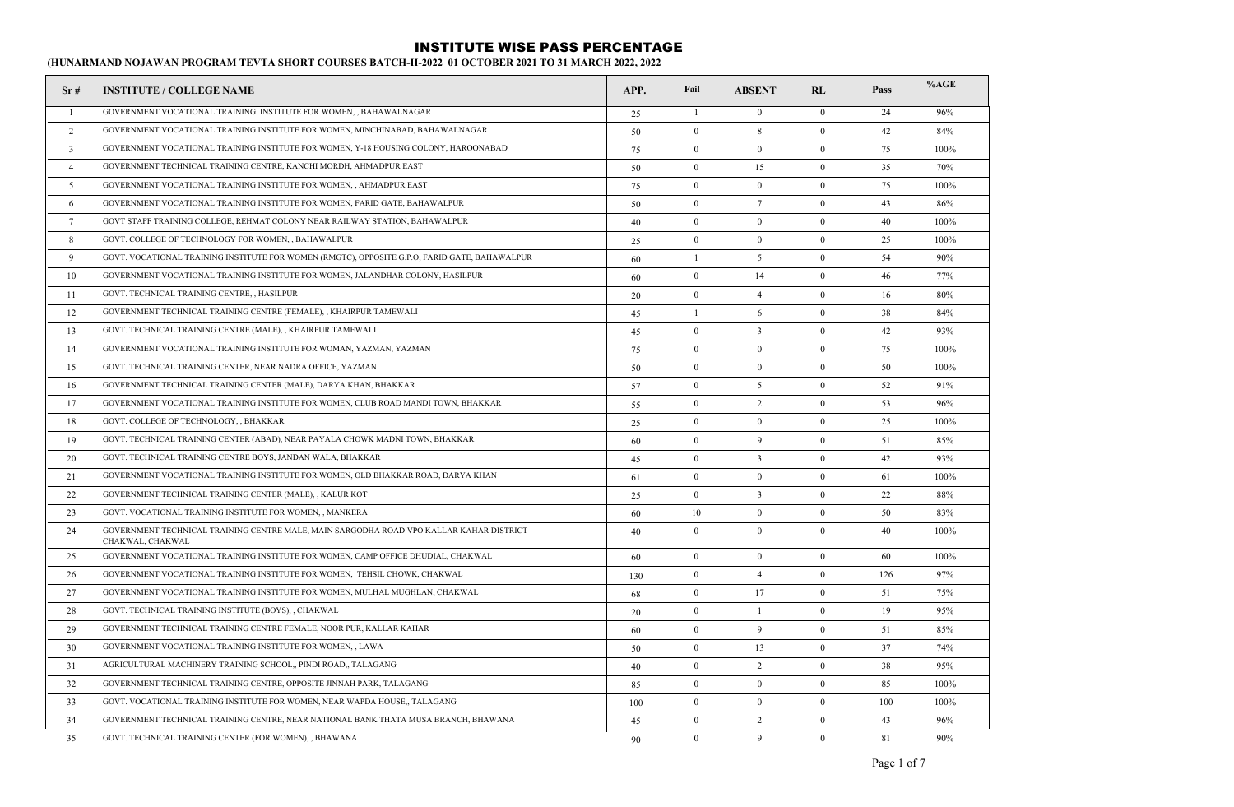| Sr#             | <b>INSTITUTE / COLLEGE NAME</b>                                                                             | APP. | Fail           | <b>ABSENT</b>    | RL               | Pass | %AGE |
|-----------------|-------------------------------------------------------------------------------------------------------------|------|----------------|------------------|------------------|------|------|
| -1              | GOVERNMENT VOCATIONAL TRAINING INSTITUTE FOR WOMEN, , BAHAWALNAGAR                                          | 25   | -1             | $\mathbf{0}$     | $\overline{0}$   | 24   | 96%  |
| 2               | GOVERNMENT VOCATIONAL TRAINING INSTITUTE FOR WOMEN, MINCHINABAD, BAHAWALNAGAR                               | 50   | $\mathbf{0}$   | 8                | $\mathbf{0}$     | 42   | 84%  |
| $\overline{3}$  | GOVERNMENT VOCATIONAL TRAINING INSTITUTE FOR WOMEN, Y-18 HOUSING COLONY, HAROONABAD                         | 75   | $\mathbf{0}$   | $\overline{0}$   | $\mathbf{0}$     | 75   | 100% |
| $\overline{4}$  | GOVERNMENT TECHNICAL TRAINING CENTRE, KANCHI MORDH, AHMADPUR EAST                                           | 50   | $\bf{0}$       | 15               | $\bf{0}$         | 35   | 70%  |
| 5               | GOVERNMENT VOCATIONAL TRAINING INSTITUTE FOR WOMEN,, AHMADPUR EAST                                          | 75   | $\bf{0}$       | $\bf{0}$         | $\mathbf{0}$     | 75   | 100% |
| 6               | GOVERNMENT VOCATIONAL TRAINING INSTITUTE FOR WOMEN, FARID GATE, BAHAWALPUR                                  | 50   | $\mathbf{0}$   | $7\phantom{.0}$  | $\mathbf{0}$     | 43   | 86%  |
| $7\overline{ }$ | GOVT STAFF TRAINING COLLEGE, REHMAT COLONY NEAR RAILWAY STATION, BAHAWALPUR                                 | 40   | $\mathbf{0}$   | $\boldsymbol{0}$ | $\mathbf{0}$     | 40   | 100% |
| 8               | GOVT. COLLEGE OF TECHNOLOGY FOR WOMEN, , BAHAWALPUR                                                         | 25   | $\bf{0}$       | $\boldsymbol{0}$ | $\bf{0}$         | 25   | 100% |
| 9               | GOVT. VOCATIONAL TRAINING INSTITUTE FOR WOMEN (RMGTC), OPPOSITE G.P.O, FARID GATE, BAHAWALPUR               | 60   | $\overline{1}$ | 5                | $\mathbf{0}$     | 54   | 90%  |
| 10              | GOVERNMENT VOCATIONAL TRAINING INSTITUTE FOR WOMEN, JALANDHAR COLONY, HASILPUR                              | 60   | $\mathbf{0}$   | 14               | $\mathbf{0}$     | 46   | 77%  |
| 11              | GOVT. TECHNICAL TRAINING CENTRE, , HASILPUR                                                                 | 20   | $\mathbf{0}$   | $\overline{4}$   | $\mathbf{0}$     | 16   | 80%  |
| 12              | GOVERNMENT TECHNICAL TRAINING CENTRE (FEMALE), , KHAIRPUR TAMEWALI                                          | 45   | $\overline{1}$ | 6                | $\mathbf{0}$     | 38   | 84%  |
| 13              | GOVT. TECHNICAL TRAINING CENTRE (MALE), , KHAIRPUR TAMEWALI                                                 | 45   | $\bf{0}$       | $\overline{3}$   | $\bf{0}$         | 42   | 93%  |
| 14              | GOVERNMENT VOCATIONAL TRAINING INSTITUTE FOR WOMAN, YAZMAN, YAZMAN                                          | 75   | $\bf{0}$       | $\bf{0}$         | $\mathbf{0}$     | 75   | 100% |
| 15              | GOVT. TECHNICAL TRAINING CENTER, NEAR NADRA OFFICE, YAZMAN                                                  | 50   | $\mathbf{0}$   | $\mathbf{0}$     | $\mathbf{0}$     | 50   | 100% |
| 16              | GOVERNMENT TECHNICAL TRAINING CENTER (MALE), DARYA KHAN, BHAKKAR                                            | 57   | $\mathbf{0}$   | 5                | $\mathbf{0}$     | 52   | 91%  |
| 17              | GOVERNMENT VOCATIONAL TRAINING INSTITUTE FOR WOMEN, CLUB ROAD MANDI TOWN, BHAKKAR                           | 55   | $\mathbf{0}$   | $\overline{2}$   | $\mathbf{0}$     | 53   | 96%  |
| 18              | GOVT. COLLEGE OF TECHNOLOGY, , BHAKKAR                                                                      | 25   | $\bf{0}$       | $\bf{0}$         | $\theta$         | 25   | 100% |
| 19              | GOVT. TECHNICAL TRAINING CENTER (ABAD), NEAR PAYALA CHOWK MADNI TOWN, BHAKKAR                               | 60   | $\mathbf{0}$   | 9                | $\mathbf{0}$     | 51   | 85%  |
| 20              | GOVT. TECHNICAL TRAINING CENTRE BOYS, JANDAN WALA, BHAKKAR                                                  | 45   | $\mathbf{0}$   | $\overline{3}$   | $\mathbf{0}$     | 42   | 93%  |
| 21              | GOVERNMENT VOCATIONAL TRAINING INSTITUTE FOR WOMEN, OLD BHAKKAR ROAD, DARYA KHAN                            | 61   | $\mathbf{0}$   | $\overline{0}$   | $\mathbf{0}$     | 61   | 100% |
| 22              | GOVERNMENT TECHNICAL TRAINING CENTER (MALE), , KALUR KOT                                                    | 25   | $\mathbf{0}$   | $\overline{3}$   | $\mathbf{0}$     | 22   | 88%  |
| 23              | GOVT. VOCATIONAL TRAINING INSTITUTE FOR WOMEN, , MANKERA                                                    | 60   | 10             | $\boldsymbol{0}$ | $\boldsymbol{0}$ | 50   | 83%  |
| 24              | GOVERNMENT TECHNICAL TRAINING CENTRE MALE, MAIN SARGODHA ROAD VPO KALLAR KAHAR DISTRICT<br>CHAKWAL, CHAKWAL | 40   | $\overline{0}$ | $\overline{0}$   | $\mathbf{0}$     | 40   | 100% |
| 25              | GOVERNMENT VOCATIONAL TRAINING INSTITUTE FOR WOMEN, CAMP OFFICE DHUDIAL, CHAKWAL                            | 60   | $\bf{0}$       | $\overline{0}$   | $\bf{0}$         | 60   | 100% |
| 26              | GOVERNMENT VOCATIONAL TRAINING INSTITUTE FOR WOMEN, TEHSIL CHOWK, CHAKWAL                                   | 130  | $\bf{0}$       | $\overline{4}$   | $\mathbf{0}$     | 126  | 97%  |
| 27              | GOVERNMENT VOCATIONAL TRAINING INSTITUTE FOR WOMEN, MULHAL MUGHLAN, CHAKWAL                                 | 68   | $\mathbf{0}$   | 17               | $\mathbf{0}$     | 51   | 75%  |
| 28              | GOVT. TECHNICAL TRAINING INSTITUTE (BOYS), , CHAKWAL                                                        | 20   | $\mathbf{0}$   | $\mathbf{1}$     | $\mathbf{0}$     | 19   | 95%  |
| 29              | GOVERNMENT TECHNICAL TRAINING CENTRE FEMALE, NOOR PUR, KALLAR KAHAR                                         | 60   | $\bf{0}$       | 9                | $\bf{0}$         | 51   | 85%  |
| 30              | GOVERNMENT VOCATIONAL TRAINING INSTITUTE FOR WOMEN, , LAWA                                                  | 50   | $\bf{0}$       | 13               | $\mathbf{0}$     | 37   | 74%  |
| 31              | AGRICULTURAL MACHINERY TRAINING SCHOOL, PINDI ROAD,, TALAGANG                                               | 40   | $\mathbf{0}$   | 2                | $\mathbf{0}$     | 38   | 95%  |
| 32              | GOVERNMENT TECHNICAL TRAINING CENTRE, OPPOSITE JINNAH PARK, TALAGANG                                        | 85   | $\mathbf{0}$   | $\mathbf{0}$     | $\mathbf{0}$     | 85   | 100% |
| 33              | GOVT. VOCATIONAL TRAINING INSTITUTE FOR WOMEN, NEAR WAPDA HOUSE,, TALAGANG                                  | 100  | $\mathbf{0}$   | $\overline{0}$   | $\overline{0}$   | 100  | 100% |
| 34              | GOVERNMENT TECHNICAL TRAINING CENTRE, NEAR NATIONAL BANK THATA MUSA BRANCH, BHAWANA                         | 45   | $\bf{0}$       | 2                | $\bf{0}$         | 43   | 96%  |
| 35              | GOVT. TECHNICAL TRAINING CENTER (FOR WOMEN), , BHAWANA                                                      | 90   | $\theta$       | $\mathbf{Q}$     | $\theta$         | 81   | 90%  |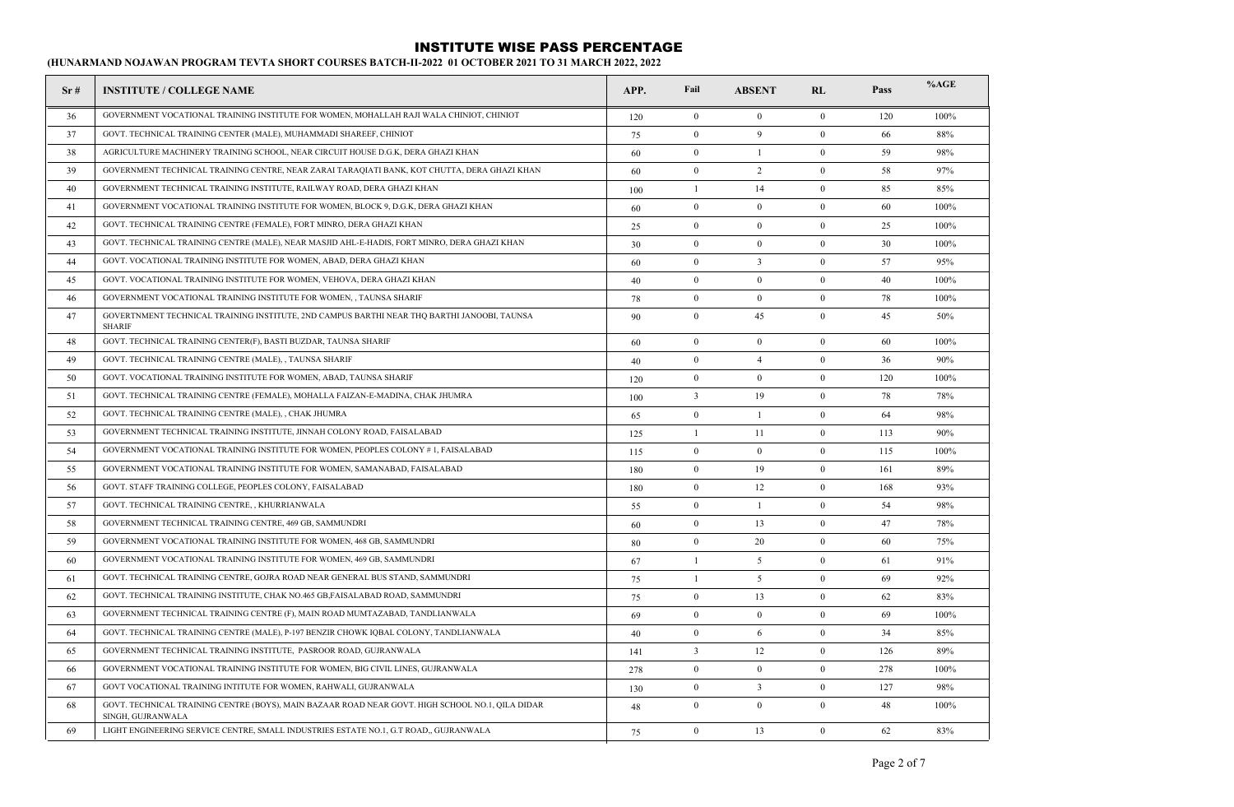| Sr# | <b>INSTITUTE / COLLEGE NAME</b>                                                                                       | APP. | Fail                    | <b>ABSENT</b>           | RL               | Pass | %AGE |
|-----|-----------------------------------------------------------------------------------------------------------------------|------|-------------------------|-------------------------|------------------|------|------|
| 36  | GOVERNMENT VOCATIONAL TRAINING INSTITUTE FOR WOMEN, MOHALLAH RAJI WALA CHINIOT, CHINIOT                               | 120  | $\mathbf{0}$            | $\overline{0}$          | $\mathbf{0}$     | 120  | 100% |
| 37  | GOVT. TECHNICAL TRAINING CENTER (MALE), MUHAMMADI SHAREEF, CHINIOT                                                    | 75   | $\theta$                | 9                       | $\mathbf{0}$     | 66   | 88%  |
| 38  | AGRICULTURE MACHINERY TRAINING SCHOOL, NEAR CIRCUIT HOUSE D.G.K, DERA GHAZI KHAN                                      | 60   | $\theta$                | $\overline{1}$          | $\theta$         | 59   | 98%  |
| 39  | GOVERNMENT TECHNICAL TRAINING CENTRE, NEAR ZARAI TARAQIATI BANK, KOT CHUTTA, DERA GHAZI KHAN                          | 60   | $\boldsymbol{0}$        | 2                       | $\mathbf{0}$     | 58   | 97%  |
| 40  | GOVERNMENT TECHNICAL TRAINING INSTITUTE, RAILWAY ROAD, DERA GHAZI KHAN                                                | 100  | $\overline{1}$          | 14                      | $\boldsymbol{0}$ | 85   | 85%  |
| 41  | GOVERNMENT VOCATIONAL TRAINING INSTITUTE FOR WOMEN, BLOCK 9, D.G.K, DERA GHAZI KHAN                                   | 60   | $\mathbf{0}$            | $\mathbf{0}$            | $\mathbf{0}$     | 60   | 100% |
| 42  | GOVT. TECHNICAL TRAINING CENTRE (FEMALE), FORT MINRO, DERA GHAZI KHAN                                                 | 25   | $\Omega$                | $\mathbf{0}$            | $\mathbf{0}$     | 25   | 100% |
| 43  | GOVT. TECHNICAL TRAINING CENTRE (MALE), NEAR MASJID AHL-E-HADIS, FORT MINRO, DERA GHAZI KHAN                          | 30   | $\theta$                | $\theta$                | $\theta$         | 30   | 100% |
| 44  | GOVT. VOCATIONAL TRAINING INSTITUTE FOR WOMEN, ABAD, DERA GHAZI KHAN                                                  | 60   | $\boldsymbol{0}$        | $\overline{\mathbf{3}}$ | $\mathbf{0}$     | 57   | 95%  |
| 45  | GOVT. VOCATIONAL TRAINING INSTITUTE FOR WOMEN, VEHOVA, DERA GHAZI KHAN                                                | 40   | $\boldsymbol{0}$        | $\mathbf{0}$            | $\mathbf{0}$     | 40   | 100% |
| 46  | GOVERNMENT VOCATIONAL TRAINING INSTITUTE FOR WOMEN, , TAUNSA SHARIF                                                   | 78   | $\mathbf{0}$            | $\mathbf{0}$            | $\mathbf{0}$     | 78   | 100% |
| 47  | GOVERTNMENT TECHNICAL TRAINING INSTITUTE, 2ND CAMPUS BARTHI NEAR THQ BARTHI JANOOBI, TAUNSA<br><b>SHARIF</b>          | 90   | $\mathbf{0}$            | 45                      | $\mathbf{0}$     | 45   | 50%  |
| 48  | GOVT. TECHNICAL TRAINING CENTER(F), BASTI BUZDAR, TAUNSA SHARIF                                                       | 60   | $\mathbf{0}$            | $\overline{0}$          | $\mathbf{0}$     | 60   | 100% |
| 49  | GOVT. TECHNICAL TRAINING CENTRE (MALE), , TAUNSA SHARIF                                                               | 40   | $\mathbf{0}$            | $\overline{4}$          | $\mathbf{0}$     | 36   | 90%  |
| 50  | GOVT. VOCATIONAL TRAINING INSTITUTE FOR WOMEN, ABAD, TAUNSA SHARIF                                                    | 120  | $\mathbf{0}$            | $\mathbf{0}$            | $\mathbf{0}$     | 120  | 100% |
| 51  | GOVT. TECHNICAL TRAINING CENTRE (FEMALE), MOHALLA FAIZAN-E-MADINA, CHAK JHUMRA                                        | 100  | $\overline{\mathbf{3}}$ | 19                      | $\mathbf{0}$     | 78   | 78%  |
| 52  | GOVT. TECHNICAL TRAINING CENTRE (MALE), , CHAK JHUMRA                                                                 | 65   | $\mathbf{0}$            | -1                      | $\mathbf{0}$     | 64   | 98%  |
| 53  | GOVERNMENT TECHNICAL TRAINING INSTITUTE, JINNAH COLONY ROAD, FAISALABAD                                               | 125  | -1                      | 11                      | $\mathbf{0}$     | 113  | 90%  |
| 54  | GOVERNMENT VOCATIONAL TRAINING INSTITUTE FOR WOMEN, PEOPLES COLONY #1, FAISALABAD                                     | 115  | $\mathbf{0}$            | $\mathbf{0}$            | $\mathbf{0}$     | 115  | 100% |
| 55  | GOVERNMENT VOCATIONAL TRAINING INSTITUTE FOR WOMEN, SAMANABAD, FAISALABAD                                             | 180  | $\theta$                | 19                      | $\mathbf{0}$     | 161  | 89%  |
| 56  | GOVT. STAFF TRAINING COLLEGE, PEOPLES COLONY, FAISALABAD                                                              | 180  | $\theta$                | 12                      | $\mathbf{0}$     | 168  | 93%  |
| 57  | GOVT. TECHNICAL TRAINING CENTRE, , KHURRIANWALA                                                                       | 55   | $\theta$                | 1                       | $\mathbf{0}$     | 54   | 98%  |
| 58  | GOVERNMENT TECHNICAL TRAINING CENTRE, 469 GB, SAMMUNDRI                                                               | 60   | $\mathbf{0}$            | 13                      | $\mathbf{0}$     | 47   | 78%  |
| 59  | GOVERNMENT VOCATIONAL TRAINING INSTITUTE FOR WOMEN, 468 GB, SAMMUNDRI                                                 | 80   | $\boldsymbol{0}$        | 20                      | $\mathbf{0}$     | 60   | 75%  |
| 60  | GOVERNMENT VOCATIONAL TRAINING INSTITUTE FOR WOMEN, 469 GB, SAMMUNDRI                                                 | 67   | $\overline{1}$          | 5                       | $\mathbf{0}$     | 61   | 91%  |
| 61  | GOVT. TECHNICAL TRAINING CENTRE, GOJRA ROAD NEAR GENERAL BUS STAND, SAMMUNDRI                                         | 75   | -1                      | 5                       | $\mathbf{0}$     | 69   | 92%  |
| 62  | GOVT. TECHNICAL TRAINING INSTITUTE, CHAK NO.465 GB, FAISALABAD ROAD, SAMMUNDRI                                        | 75   | $\theta$                | 13                      | $\theta$         | 62   | 83%  |
| 63  | GOVERNMENT TECHNICAL TRAINING CENTRE (F), MAIN ROAD MUMTAZABAD, TANDLIANWALA                                          | 69   | $\theta$                | $\mathbf{0}$            | $\boldsymbol{0}$ | 69   | 100% |
| 64  | GOVT. TECHNICAL TRAINING CENTRE (MALE), P-197 BENZIR CHOWK IOBAL COLONY, TANDLIANWALA                                 | 40   | $\theta$                | 6                       | $\boldsymbol{0}$ | 34   | 85%  |
| 65  | GOVERNMENT TECHNICAL TRAINING INSTITUTE, PASROOR ROAD, GUJRANWALA                                                     | 141  | 3                       | 12                      | $\mathbf{0}$     | 126  | 89%  |
| 66  | GOVERNMENT VOCATIONAL TRAINING INSTITUTE FOR WOMEN, BIG CIVIL LINES, GUJRANWALA                                       | 278  | $\Omega$                | $\mathbf{0}$            | $\bf{0}$         | 278  | 100% |
| 67  | GOVT VOCATIONAL TRAINING INTITUTE FOR WOMEN, RAHWALI, GUJRANWALA                                                      | 130  | $\boldsymbol{0}$        | $\overline{3}$          | $\boldsymbol{0}$ | 127  | 98%  |
| 68  | GOVT. TECHNICAL TRAINING CENTRE (BOYS), MAIN BAZAAR ROAD NEAR GOVT. HIGH SCHOOL NO.1, QILA DIDAR<br>SINGH, GUJRANWALA | 48   | $\mathbf{0}$            | $\mathbf{0}$            | $\mathbf{0}$     | 48   | 100% |
| 69  | LIGHT ENGINEERING SERVICE CENTRE, SMALL INDUSTRIES ESTATE NO.1, G.T ROAD,, GUJRANWALA                                 | 75   | $\mathbf{0}$            | 13                      | $\mathbf{0}$     | 62   | 83%  |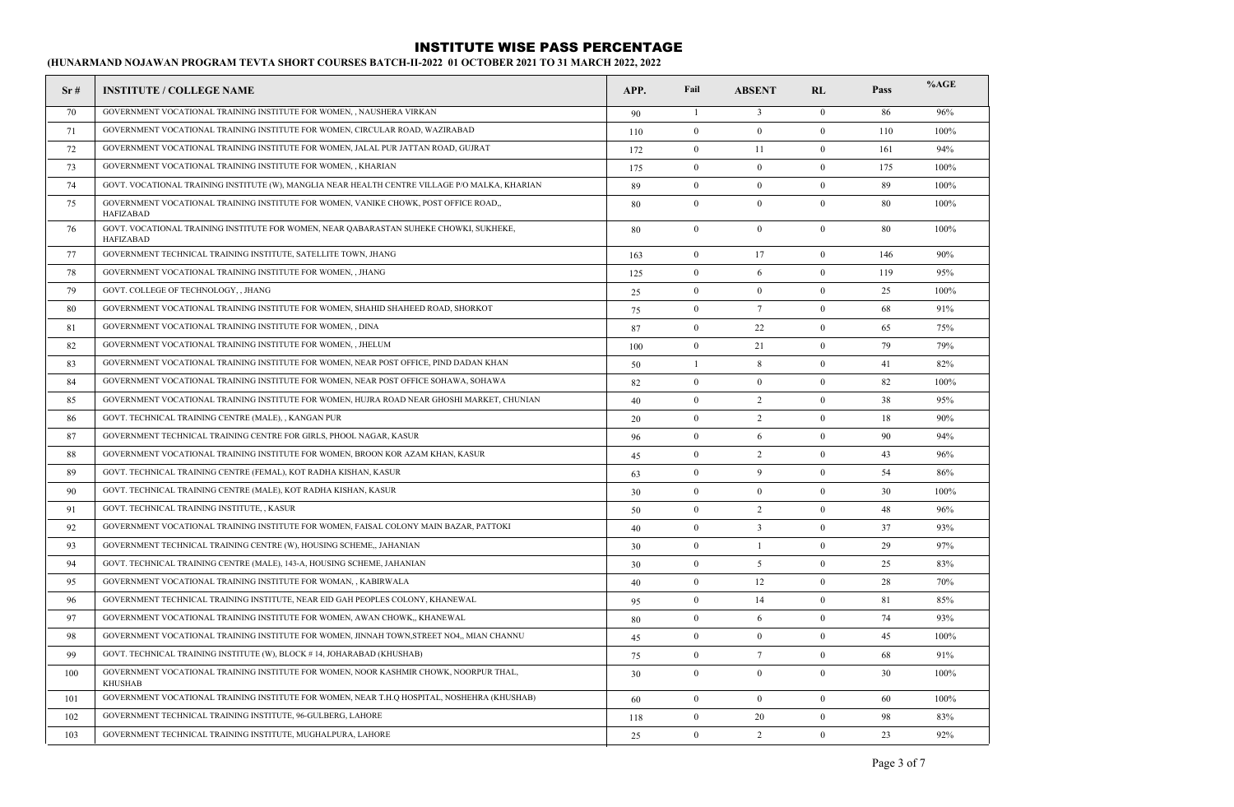| Sr# | <b>INSTITUTE / COLLEGE NAME</b>                                                                            | APP. | Fail             | <b>ABSENT</b>    | RL               | Pass | %AGE |
|-----|------------------------------------------------------------------------------------------------------------|------|------------------|------------------|------------------|------|------|
| 70  | GOVERNMENT VOCATIONAL TRAINING INSTITUTE FOR WOMEN, , NAUSHERA VIRKAN                                      | 90   | $\mathbf{1}$     | $\overline{3}$   | $\mathbf{0}$     | 86   | 96%  |
| 71  | GOVERNMENT VOCATIONAL TRAINING INSTITUTE FOR WOMEN, CIRCULAR ROAD, WAZIRABAD                               | 110  | $\mathbf{0}$     | $\mathbf{0}$     | $\mathbf{0}$     | 110  | 100% |
| 72  | GOVERNMENT VOCATIONAL TRAINING INSTITUTE FOR WOMEN, JALAL PUR JATTAN ROAD, GUJRAT                          | 172  | $\overline{0}$   | 11               | $\mathbf{0}$     | 161  | 94%  |
| 73  | GOVERNMENT VOCATIONAL TRAINING INSTITUTE FOR WOMEN,, KHARIAN                                               | 175  | $\bf{0}$         | $\bf{0}$         | $\bf{0}$         | 175  | 100% |
| 74  | GOVT. VOCATIONAL TRAINING INSTITUTE (W), MANGLIA NEAR HEALTH CENTRE VILLAGE P/O MALKA, KHARIAN             | 89   | $\boldsymbol{0}$ | $\bf{0}$         | $\bf{0}$         | 89   | 100% |
| 75  | GOVERNMENT VOCATIONAL TRAINING INSTITUTE FOR WOMEN, VANIKE CHOWK, POST OFFICE ROAD.,<br><b>HAFIZABAD</b>   | 80   | $\mathbf{0}$     | $\boldsymbol{0}$ | $\mathbf{0}$     | 80   | 100% |
| 76  | GOVT. VOCATIONAL TRAINING INSTITUTE FOR WOMEN, NEAR QABARASTAN SUHEKE CHOWKI, SUKHEKE,<br><b>HAFIZABAD</b> | 80   | $\mathbf{0}$     | $\mathbf{0}$     | $\mathbf{0}$     | 80   | 100% |
| 77  | GOVERNMENT TECHNICAL TRAINING INSTITUTE, SATELLITE TOWN, JHANG                                             | 163  | $\mathbf{0}$     | 17               | $\mathbf{0}$     | 146  | 90%  |
| 78  | GOVERNMENT VOCATIONAL TRAINING INSTITUTE FOR WOMEN, , JHANG                                                | 125  | $\mathbf{0}$     | 6                | $\mathbf{0}$     | 119  | 95%  |
| 79  | GOVT. COLLEGE OF TECHNOLOGY, , JHANG                                                                       | 25   | $\overline{0}$   | $\overline{0}$   | $\mathbf{0}$     | 25   | 100% |
| 80  | GOVERNMENT VOCATIONAL TRAINING INSTITUTE FOR WOMEN, SHAHID SHAHEED ROAD, SHORKOT                           | 75   | $\boldsymbol{0}$ | $7\phantom{.0}$  | $\mathbf{0}$     | 68   | 91%  |
| 81  | GOVERNMENT VOCATIONAL TRAINING INSTITUTE FOR WOMEN, , DINA                                                 | 87   | $\mathbf{0}$     | 22               | $\mathbf{0}$     | 65   | 75%  |
| 82  | GOVERNMENT VOCATIONAL TRAINING INSTITUTE FOR WOMEN, , JHELUM                                               | 100  | $\mathbf{0}$     | 21               | $\mathbf{0}$     | 79   | 79%  |
| 83  | GOVERNMENT VOCATIONAL TRAINING INSTITUTE FOR WOMEN, NEAR POST OFFICE, PIND DADAN KHAN                      | 50   | $\mathbf{1}$     | 8                | $\mathbf{0}$     | 41   | 82%  |
| 84  | GOVERNMENT VOCATIONAL TRAINING INSTITUTE FOR WOMEN, NEAR POST OFFICE SOHAWA, SOHAWA                        | 82   | $\bf{0}$         | $\bf{0}$         | $\mathbf{0}$     | 82   | 100% |
| 85  | GOVERNMENT VOCATIONAL TRAINING INSTITUTE FOR WOMEN, HUJRA ROAD NEAR GHOSHI MARKET, CHUNIAN                 | 40   | $\bf{0}$         | 2                | $\bf{0}$         | 38   | 95%  |
| 86  | GOVT. TECHNICAL TRAINING CENTRE (MALE), , KANGAN PUR                                                       | 20   | $\mathbf{0}$     | 2                | $\mathbf{0}$     | 18   | 90%  |
| 87  | GOVERNMENT TECHNICAL TRAINING CENTRE FOR GIRLS, PHOOL NAGAR, KASUR                                         | 96   | $\overline{0}$   | 6                | $\mathbf{0}$     | 90   | 94%  |
| 88  | GOVERNMENT VOCATIONAL TRAINING INSTITUTE FOR WOMEN, BROON KOR AZAM KHAN, KASUR                             | 45   | $\boldsymbol{0}$ | 2                | $\mathbf{0}$     | 43   | 96%  |
| 89  | GOVT. TECHNICAL TRAINING CENTRE (FEMAL), KOT RADHA KISHAN, KASUR                                           | 63   | $\bf{0}$         | 9                | $\mathbf{0}$     | 54   | 86%  |
| 90  | GOVT. TECHNICAL TRAINING CENTRE (MALE), KOT RADHA KISHAN, KASUR                                            | 30   | $\mathbf{0}$     | $\overline{0}$   | $\theta$         | 30   | 100% |
| 91  | GOVT. TECHNICAL TRAINING INSTITUTE, , KASUR                                                                | 50   | $\mathbf{0}$     | 2                | $\mathbf{0}$     | 48   | 96%  |
| 92  | GOVERNMENT VOCATIONAL TRAINING INSTITUTE FOR WOMEN, FAISAL COLONY MAIN BAZAR, PATTOKI                      | 40   | $\bf{0}$         | $\mathbf{3}$     | $\bf{0}$         | 37   | 93%  |
| 93  | GOVERNMENT TECHNICAL TRAINING CENTRE (W), HOUSING SCHEME,, JAHANIAN                                        | 30   | $\bf{0}$         | $\mathbf{1}$     | $\mathbf{0}$     | 29   | 97%  |
| 94  | GOVT. TECHNICAL TRAINING CENTRE (MALE), 143-A, HOUSING SCHEME, JAHANIAN                                    | 30   | $\mathbf{0}$     | 5                | $\mathbf{0}$     | 25   | 83%  |
| 95  | GOVERNMENT VOCATIONAL TRAINING INSTITUTE FOR WOMAN, , KABIRWALA                                            | 40   | $\mathbf{0}$     | 12               | $\mathbf{0}$     | 28   | 70%  |
| 96  | GOVERNMENT TECHNICAL TRAINING INSTITUTE, NEAR EID GAH PEOPLES COLONY, KHANEWAL                             | 95   | $\overline{0}$   | 14               | $\mathbf{0}$     | 81   | 85%  |
| 97  | GOVERNMENT VOCATIONAL TRAINING INSTITUTE FOR WOMEN, AWAN CHOWK,, KHANEWAL                                  | 80   | $\bf{0}$         | 6                | $\mathbf{0}$     | 74   | 93%  |
| 98  | GOVERNMENT VOCATIONAL TRAINING INSTITUTE FOR WOMEN, JINNAH TOWN, STREET NO4,, MIAN CHANNU                  | 45   | $\boldsymbol{0}$ | $\bf{0}$         | $\mathbf{0}$     | 45   | 100% |
| 99  | GOVT. TECHNICAL TRAINING INSTITUTE (W), BLOCK #14, JOHARABAD (KHUSHAB)                                     | 75   | $\mathbf{0}$     | $7\phantom{.0}$  | $\mathbf{0}$     | 68   | 91%  |
| 100 | GOVERNMENT VOCATIONAL TRAINING INSTITUTE FOR WOMEN, NOOR KASHMIR CHOWK, NOORPUR THAL,<br><b>KHUSHAB</b>    | 30   | $\overline{0}$   | $\overline{0}$   | $\mathbf{0}$     | 30   | 100% |
| 101 | GOVERNMENT VOCATIONAL TRAINING INSTITUTE FOR WOMEN, NEAR T.H.Q HOSPITAL, NOSHEHRA (KHUSHAB)                | 60   | $\overline{0}$   | $\overline{0}$   | $\overline{0}$   | 60   | 100% |
| 102 | GOVERNMENT TECHNICAL TRAINING INSTITUTE, 96-GULBERG, LAHORE                                                | 118  | $\bf{0}$         | 20               | $\boldsymbol{0}$ | 98   | 83%  |
| 103 | GOVERNMENT TECHNICAL TRAINING INSTITUTE, MUGHALPURA, LAHORE                                                | 25   | $\mathbf{0}$     | 2                | $\mathbf{0}$     | 23   | 92%  |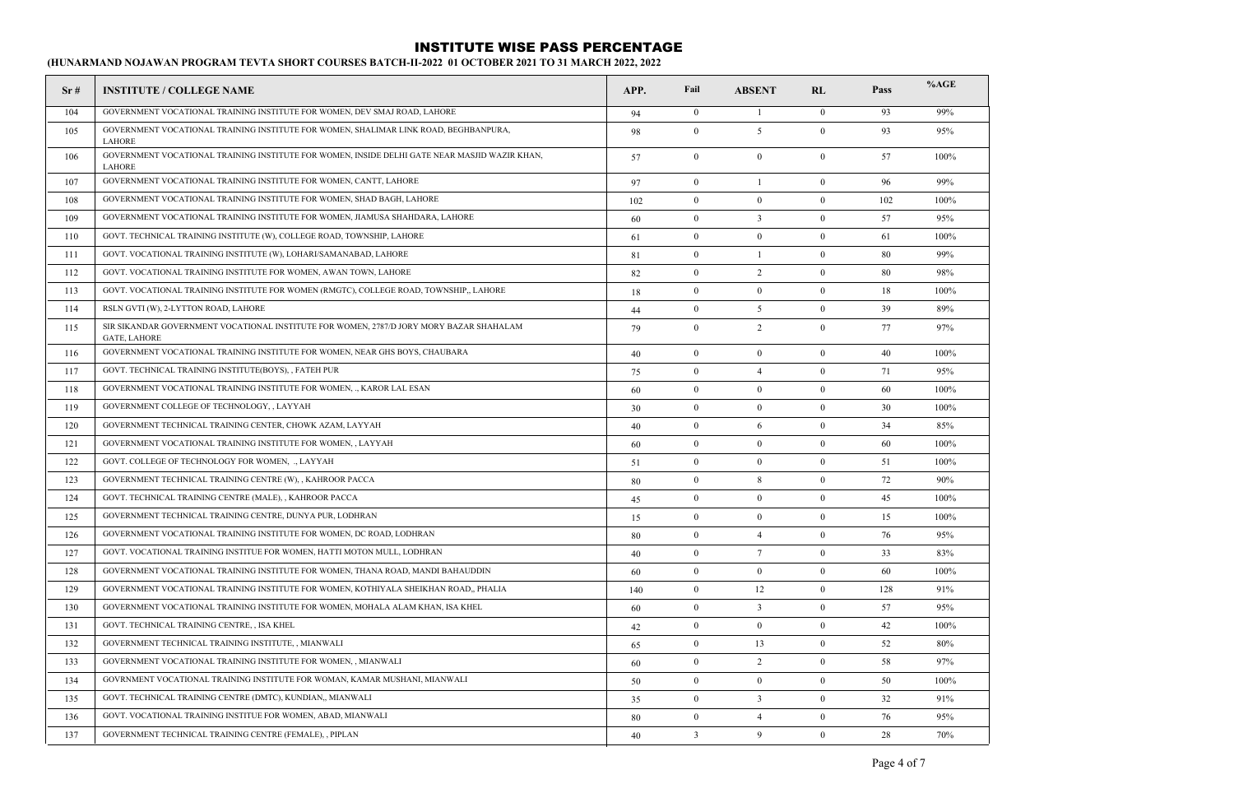| Sr# | <b>INSTITUTE / COLLEGE NAME</b>                                                                                | APP. | Fail             | <b>ABSENT</b>    | RL             | Pass | %AGE |
|-----|----------------------------------------------------------------------------------------------------------------|------|------------------|------------------|----------------|------|------|
| 104 | GOVERNMENT VOCATIONAL TRAINING INSTITUTE FOR WOMEN, DEV SMAJ ROAD, LAHORE                                      | 94   | $\bf{0}$         | -1               | $\overline{0}$ | 93   | 99%  |
| 105 | GOVERNMENT VOCATIONAL TRAINING INSTITUTE FOR WOMEN, SHALIMAR LINK ROAD, BEGHBANPURA,<br><b>LAHORE</b>          | 98   | $\mathbf{0}$     | 5                | $\overline{0}$ | 93   | 95%  |
| 106 | GOVERNMENT VOCATIONAL TRAINING INSTITUTE FOR WOMEN, INSIDE DELHI GATE NEAR MASJID WAZIR KHAN,<br><b>LAHORE</b> | 57   | $\bf{0}$         | $\theta$         | $\theta$       | 57   | 100% |
| 107 | GOVERNMENT VOCATIONAL TRAINING INSTITUTE FOR WOMEN, CANTT, LAHORE                                              | 97   | $\bf{0}$         | $\mathbf{1}$     | $\mathbf{0}$   | 96   | 99%  |
| 108 | GOVERNMENT VOCATIONAL TRAINING INSTITUTE FOR WOMEN, SHAD BAGH, LAHORE                                          | 102  | $\mathbf{0}$     | $\boldsymbol{0}$ | $\mathbf{0}$   | 102  | 100% |
| 109 | GOVERNMENT VOCATIONAL TRAINING INSTITUTE FOR WOMEN, JIAMUSA SHAHDARA, LAHORE                                   | 60   | $\mathbf{0}$     | $\overline{3}$   | $\mathbf{0}$   | 57   | 95%  |
| 110 | GOVT. TECHNICAL TRAINING INSTITUTE (W), COLLEGE ROAD, TOWNSHIP, LAHORE                                         | 61   | $\mathbf{0}$     | $\overline{0}$   | $\overline{0}$ | 61   | 100% |
| 111 | GOVT. VOCATIONAL TRAINING INSTITUTE (W), LOHARI/SAMANABAD, LAHORE                                              | 81   | $\mathbf{0}$     | -1               | $\overline{0}$ | 80   | 99%  |
| 112 | GOVT. VOCATIONAL TRAINING INSTITUTE FOR WOMEN, AWAN TOWN, LAHORE                                               | 82   | $\mathbf{0}$     | 2                | $\theta$       | 80   | 98%  |
| 113 | GOVT. VOCATIONAL TRAINING INSTITUTE FOR WOMEN (RMGTC), COLLEGE ROAD, TOWNSHIP,, LAHORE                         | 18   | $\mathbf{0}$     | $\mathbf{0}$     | $\theta$       | 18   | 100% |
| 114 | RSLN GVTI (W), 2-LYTTON ROAD, LAHORE                                                                           | 44   | $\mathbf{0}$     | 5                | $\overline{0}$ | 39   | 89%  |
| 115 | SIR SIKANDAR GOVERNMENT VOCATIONAL INSTITUTE FOR WOMEN, 2787/D JORY MORY BAZAR SHAHALAM<br><b>GATE, LAHORE</b> | 79   | $\mathbf{0}$     | $\overline{2}$   | $\mathbf{0}$   | 77   | 97%  |
| 116 | GOVERNMENT VOCATIONAL TRAINING INSTITUTE FOR WOMEN, NEAR GHS BOYS, CHAUBARA                                    | 40   | $\overline{0}$   | $\mathbf{0}$     | $\mathbf{0}$   | 40   | 100% |
| 117 | GOVT. TECHNICAL TRAINING INSTITUTE(BOYS), , FATEH PUR                                                          | 75   | $\mathbf{0}$     | $\overline{4}$   | $\theta$       | 71   | 95%  |
| 118 | GOVERNMENT VOCATIONAL TRAINING INSTITUTE FOR WOMEN,  KAROR LAL ESAN                                            | 60   | $\theta$         | $\theta$         | $\theta$       | 60   | 100% |
| 119 | GOVERNMENT COLLEGE OF TECHNOLOGY, , LAYYAH                                                                     | 30   | $\mathbf{0}$     | $\overline{0}$   | $\mathbf{0}$   | 30   | 100% |
| 120 | GOVERNMENT TECHNICAL TRAINING CENTER, CHOWK AZAM, LAYYAH                                                       | 40   | $\mathbf{0}$     | 6                | $\theta$       | 34   | 85%  |
| 121 | GOVERNMENT VOCATIONAL TRAINING INSTITUTE FOR WOMEN, , LAYYAH                                                   | 60   | $\boldsymbol{0}$ | $\bf{0}$         | $\theta$       | 60   | 100% |
| 122 | GOVT. COLLEGE OF TECHNOLOGY FOR WOMEN, ., LAYYAH                                                               | 51   | $\mathbf{0}$     | $\bf{0}$         | $\mathbf{0}$   | 51   | 100% |
| 123 | GOVERNMENT TECHNICAL TRAINING CENTRE (W), , KAHROOR PACCA                                                      | 80   | $\mathbf{0}$     | 8                | $\mathbf{0}$   | 72   | 90%  |
| 124 | GOVT. TECHNICAL TRAINING CENTRE (MALE), , KAHROOR PACCA                                                        | 45   | $\mathbf{0}$     | $\overline{0}$   | $\theta$       | 45   | 100% |
| 125 | GOVERNMENT TECHNICAL TRAINING CENTRE, DUNYA PUR, LODHRAN                                                       | 15   | $\mathbf{0}$     | $\mathbf{0}$     | $\overline{0}$ | 15   | 100% |
| 126 | GOVERNMENT VOCATIONAL TRAINING INSTITUTE FOR WOMEN, DC ROAD, LODHRAN                                           | 80   | $\mathbf{0}$     | $\overline{4}$   | $\mathbf{0}$   | 76   | 95%  |
| 127 | GOVT. VOCATIONAL TRAINING INSTITUE FOR WOMEN, HATTI MOTON MULL, LODHRAN                                        | 40   | $\mathbf{0}$     | $7\phantom{.0}$  | $\mathbf{0}$   | 33   | 83%  |
| 128 | GOVERNMENT VOCATIONAL TRAINING INSTITUTE FOR WOMEN, THANA ROAD, MANDI BAHAUDDIN                                | 60   | $\mathbf{0}$     | $\bf{0}$         | $\overline{0}$ | 60   | 100% |
| 129 | GOVERNMENT VOCATIONAL TRAINING INSTITUTE FOR WOMEN, KOTHIYALA SHEIKHAN ROAD,, PHALIA                           | 140  | $\mathbf{0}$     | 12               | $\mathbf{0}$   | 128  | 91%  |
| 130 | GOVERNMENT VOCATIONAL TRAINING INSTITUTE FOR WOMEN, MOHALA ALAM KHAN, ISA KHEL                                 | 60   | $\mathbf{0}$     | $\overline{3}$   | $\mathbf{0}$   | 57   | 95%  |
| 131 | GOVT. TECHNICAL TRAINING CENTRE, , ISA KHEL                                                                    | 42   | $\bf{0}$         | $\bf{0}$         | $\mathbf{0}$   | 42   | 100% |
| 132 | GOVERNMENT TECHNICAL TRAINING INSTITUTE, , MIANWALI                                                            | 65   | $\bf{0}$         | 13               | $\overline{0}$ | 52   | 80%  |
| 133 | GOVERNMENT VOCATIONAL TRAINING INSTITUTE FOR WOMEN, , MIANWALI                                                 | 60   | $\mathbf{0}$     | $\overline{2}$   | $\overline{0}$ | 58   | 97%  |
| 134 | GOVRNMENT VOCATIONAL TRAINING INSTITUTE FOR WOMAN, KAMAR MUSHANI, MIANWALI                                     | 50   | $\theta$         | $\bf{0}$         | $\theta$       | 50   | 100% |
| 135 | GOVT. TECHNICAL TRAINING CENTRE (DMTC), KUNDIAN,, MIANWALI                                                     | 35   | $\mathbf{0}$     | $\mathbf{3}$     | $\theta$       | 32   | 91%  |
| 136 | GOVT. VOCATIONAL TRAINING INSTITUE FOR WOMEN, ABAD, MIANWALI                                                   | 80   | $\mathbf{0}$     | $\overline{4}$   | $\theta$       | 76   | 95%  |
| 137 | GOVERNMENT TECHNICAL TRAINING CENTRE (FEMALE), , PIPLAN                                                        | 40   | $\overline{3}$   | 9                | $\theta$       | 28   | 70%  |
|     |                                                                                                                |      |                  |                  |                |      |      |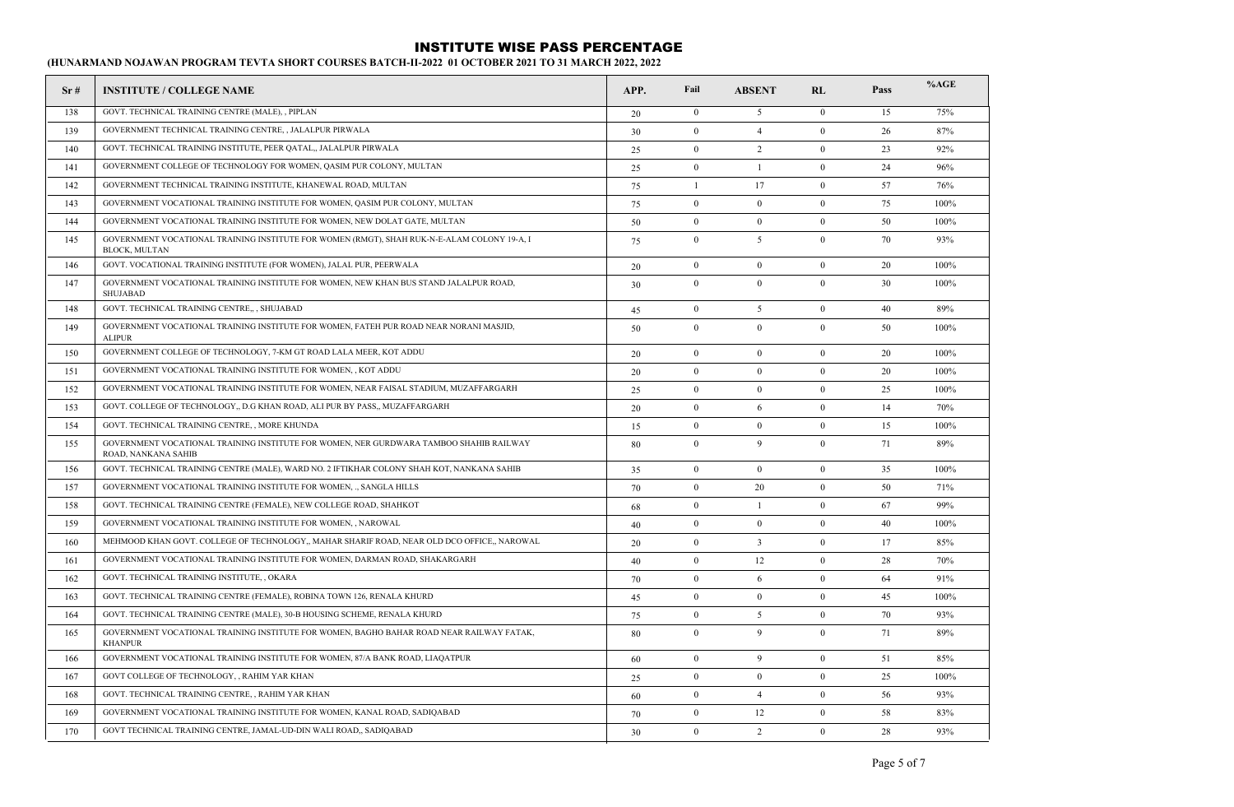| Sr# | <b>INSTITUTE / COLLEGE NAME</b>                                                                               | APP. | Fail             | <b>ABSENT</b>  | RL               | Pass | %AGE |
|-----|---------------------------------------------------------------------------------------------------------------|------|------------------|----------------|------------------|------|------|
| 138 | GOVT. TECHNICAL TRAINING CENTRE (MALE), , PIPLAN                                                              | 20   | $\bf{0}$         | 5              | $\mathbf{0}$     | 15   | 75%  |
| 139 | GOVERNMENT TECHNICAL TRAINING CENTRE, , JALALPUR PIRWALA                                                      | 30   | $\mathbf{0}$     | $\overline{4}$ | $\mathbf{0}$     | 26   | 87%  |
| 140 | GOVT. TECHNICAL TRAINING INSTITUTE, PEER QATAL., JALALPUR PIRWALA                                             | 25   | $\boldsymbol{0}$ | 2              | $\boldsymbol{0}$ | 23   | 92%  |
| 141 | GOVERNMENT COLLEGE OF TECHNOLOGY FOR WOMEN, QASIM PUR COLONY, MULTAN                                          | 25   | $\boldsymbol{0}$ | $\mathbf{1}$   | $\boldsymbol{0}$ | 24   | 96%  |
| 142 | GOVERNMENT TECHNICAL TRAINING INSTITUTE, KHANEWAL ROAD, MULTAN                                                | 75   | $\mathbf{1}$     | 17             | $\mathbf{0}$     | 57   | 76%  |
| 143 | GOVERNMENT VOCATIONAL TRAINING INSTITUTE FOR WOMEN, QASIM PUR COLONY, MULTAN                                  | 75   | $\mathbf{0}$     | $\mathbf{0}$   | $\mathbf{0}$     | 75   | 100% |
| 144 | GOVERNMENT VOCATIONAL TRAINING INSTITUTE FOR WOMEN, NEW DOLAT GATE, MULTAN                                    | 50   | $\mathbf{0}$     | $\mathbf{0}$   | $\mathbf{0}$     | 50   | 100% |
| 145 | GOVERNMENT VOCATIONAL TRAINING INSTITUTE FOR WOMEN (RMGT), SHAH RUK-N-E-ALAM COLONY 19-A, I<br>BLOCK, MULTAN  | 75   | $\mathbf{0}$     | 5              | $\mathbf{0}$     | 70   | 93%  |
| 146 | GOVT. VOCATIONAL TRAINING INSTITUTE (FOR WOMEN), JALAL PUR, PEERWALA                                          | 20   | $\mathbf{0}$     | $\mathbf{0}$   | $\mathbf{0}$     | 20   | 100% |
| 147 | GOVERNMENT VOCATIONAL TRAINING INSTITUTE FOR WOMEN, NEW KHAN BUS STAND JALALPUR ROAD,<br>SHUJABAD             | 30   | $\mathbf{0}$     | $\mathbf{0}$   | $\mathbf{0}$     | 30   | 100% |
| 148 | GOVT. TECHNICAL TRAINING CENTRE,,, SHUJABAD                                                                   | 45   | $\boldsymbol{0}$ | 5              | $\mathbf{0}$     | 40   | 89%  |
| 149 | GOVERNMENT VOCATIONAL TRAINING INSTITUTE FOR WOMEN, FATEH PUR ROAD NEAR NORANI MASJID,<br><b>ALIPUR</b>       | 50   | $\mathbf{0}$     | $\mathbf{0}$   | $\mathbf{0}$     | 50   | 100% |
| 150 | GOVERNMENT COLLEGE OF TECHNOLOGY, 7-KM GT ROAD LALA MEER, KOT ADDU                                            | 20   | $\mathbf{0}$     | $\mathbf{0}$   | $\mathbf{0}$     | 20   | 100% |
| 151 | GOVERNMENT VOCATIONAL TRAINING INSTITUTE FOR WOMEN, , KOT ADDU                                                | 20   | $\mathbf{0}$     | $\mathbf{0}$   | $\mathbf{0}$     | 20   | 100% |
| 152 | GOVERNMENT VOCATIONAL TRAINING INSTITUTE FOR WOMEN, NEAR FAISAL STADIUM, MUZAFFARGARH                         | 25   | $\mathbf{0}$     | $\mathbf{0}$   | $\mathbf{0}$     | 25   | 100% |
| 153 | GOVT. COLLEGE OF TECHNOLOGY,, D.G KHAN ROAD, ALI PUR BY PASS,, MUZAFFARGARH                                   | 20   | $\mathbf{0}$     | 6              | $\mathbf{0}$     | 14   | 70%  |
| 154 | GOVT. TECHNICAL TRAINING CENTRE, , MORE KHUNDA                                                                | 15   | $\mathbf{0}$     | $\mathbf{0}$   | $\mathbf{0}$     | 15   | 100% |
| 155 | GOVERNMENT VOCATIONAL TRAINING INSTITUTE FOR WOMEN, NER GURDWARA TAMBOO SHAHIB RAILWAY<br>ROAD, NANKANA SAHIB | 80   | $\mathbf{0}$     | 9              | $\mathbf{0}$     | 71   | 89%  |
| 156 | GOVT. TECHNICAL TRAINING CENTRE (MALE), WARD NO. 2 IFTIKHAR COLONY SHAH KOT, NANKANA SAHIB                    | 35   | $\boldsymbol{0}$ | $\mathbf{0}$   | $\boldsymbol{0}$ | 35   | 100% |
| 157 | GOVERNMENT VOCATIONAL TRAINING INSTITUTE FOR WOMEN, ., SANGLA HILLS                                           | 70   | $\mathbf{0}$     | 20             | $\boldsymbol{0}$ | 50   | 71%  |
| 158 | GOVT. TECHNICAL TRAINING CENTRE (FEMALE), NEW COLLEGE ROAD, SHAHKOT                                           | 68   | $\mathbf{0}$     | $\mathbf{1}$   | $\mathbf{0}$     | 67   | 99%  |
| 159 | GOVERNMENT VOCATIONAL TRAINING INSTITUTE FOR WOMEN, , NAROWAL                                                 | 40   | $\mathbf{0}$     | $\mathbf{0}$   | $\mathbf{0}$     | 40   | 100% |
| 160 | MEHMOOD KHAN GOVT. COLLEGE OF TECHNOLOGY,, MAHAR SHARIF ROAD, NEAR OLD DCO OFFICE,, NAROWAL                   | 20   | $\mathbf{0}$     | $\overline{3}$ | $\mathbf{0}$     | 17   | 85%  |
| 161 | GOVERNMENT VOCATIONAL TRAINING INSTITUTE FOR WOMEN, DARMAN ROAD, SHAKARGARH                                   | 40   | $\mathbf{0}$     | 12             | $\mathbf{0}$     | 28   | 70%  |
| 162 | GOVT. TECHNICAL TRAINING INSTITUTE, , OKARA                                                                   | 70   | $\theta$         | 6              | $\theta$         | 64   | 91%  |
| 163 | GOVT. TECHNICAL TRAINING CENTRE (FEMALE), ROBINA TOWN 126, RENALA KHURD                                       | 45   | $\theta$         | $\bf{0}$       | $\theta$         | 45   | 100% |
| 164 | GOVT. TECHNICAL TRAINING CENTRE (MALE), 30-B HOUSING SCHEME, RENALA KHURD                                     | 75   | $\bf{0}$         | 5              | $\bf{0}$         | 70   | 93%  |
| 165 | GOVERNMENT VOCATIONAL TRAINING INSTITUTE FOR WOMEN, BAGHO BAHAR ROAD NEAR RAILWAY FATAK,<br><b>KHANPUR</b>    | 80   | $\boldsymbol{0}$ | 9              | $\boldsymbol{0}$ | 71   | 89%  |
| 166 | GOVERNMENT VOCATIONAL TRAINING INSTITUTE FOR WOMEN, 87/A BANK ROAD, LIAOATPUR                                 | 60   | $\theta$         | 9              | $\theta$         | 51   | 85%  |
| 167 | GOVT COLLEGE OF TECHNOLOGY, , RAHIM YAR KHAN                                                                  | 25   | $\theta$         | $\bf{0}$       | $\Omega$         | 25   | 100% |
| 168 | GOVT. TECHNICAL TRAINING CENTRE, , RAHIM YAR KHAN                                                             | 60   | $\boldsymbol{0}$ | $\overline{4}$ | $\bf{0}$         | 56   | 93%  |
| 169 | GOVERNMENT VOCATIONAL TRAINING INSTITUTE FOR WOMEN, KANAL ROAD, SADIQABAD                                     | 70   | $\boldsymbol{0}$ | 12             | $\boldsymbol{0}$ | 58   | 83%  |
| 170 | GOVT TECHNICAL TRAINING CENTRE, JAMAL-UD-DIN WALI ROAD,, SADIQABAD                                            | 30   | $\theta$         | $\overline{2}$ | $\theta$         | 28   | 93%  |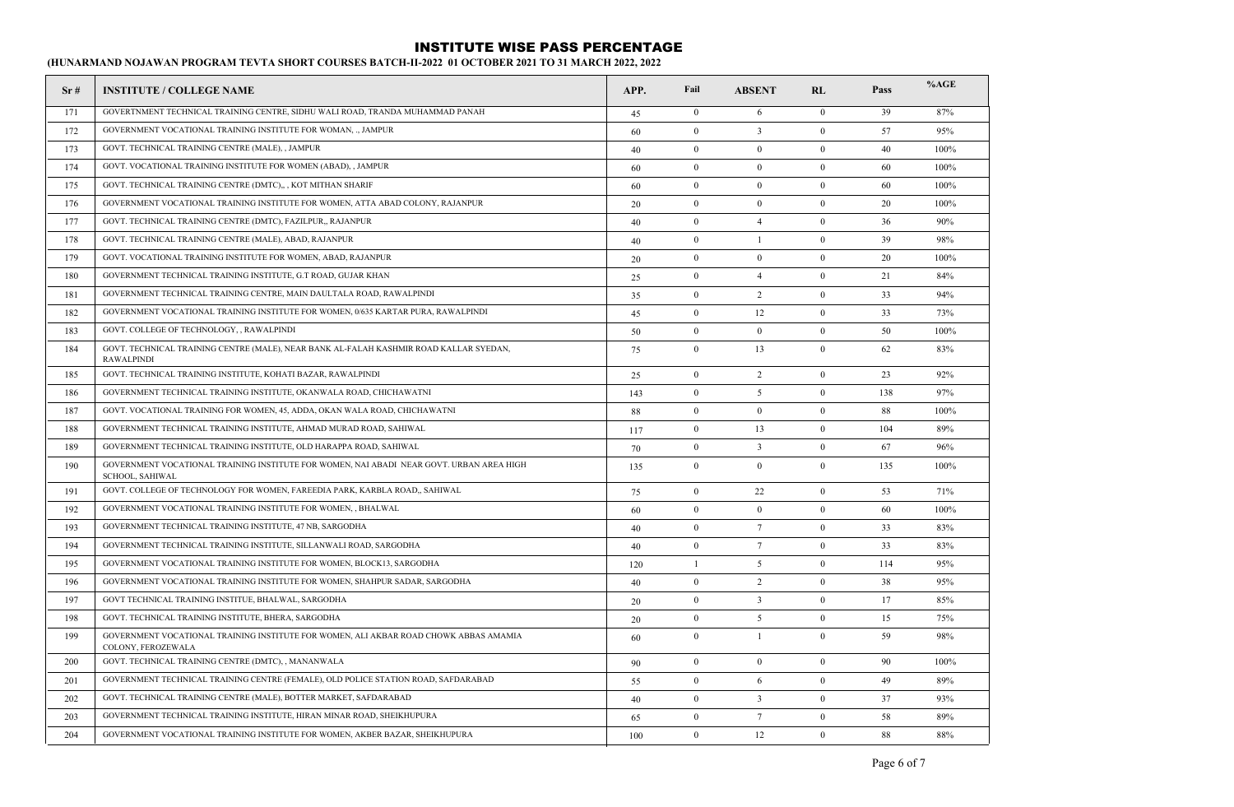| Sr# | <b>INSTITUTE / COLLEGE NAME</b>                                                                                    | APP. | Fail           | <b>ABSENT</b>   | RL             | Pass | %AGE |
|-----|--------------------------------------------------------------------------------------------------------------------|------|----------------|-----------------|----------------|------|------|
| 171 | GOVERTNMENT TECHNICAL TRAINING CENTRE, SIDHU WALI ROAD, TRANDA MUHAMMAD PANAH                                      | 45   | $\overline{0}$ | 6               | $\Omega$       | 39   | 87%  |
| 172 | GOVERNMENT VOCATIONAL TRAINING INSTITUTE FOR WOMAN,  JAMPUR                                                        | 60   | $\overline{0}$ | $\overline{3}$  | $\overline{0}$ | 57   | 95%  |
| 173 | GOVT. TECHNICAL TRAINING CENTRE (MALE), , JAMPUR                                                                   | 40   | $\mathbf{0}$   | $\mathbf{0}$    | $\mathbf{0}$   | 40   | 100% |
| 174 | GOVT. VOCATIONAL TRAINING INSTITUTE FOR WOMEN (ABAD), JAMPUR                                                       | 60   | $\mathbf{0}$   | $\mathbf{0}$    | $\mathbf{0}$   | 60   | 100% |
| 175 | GOVT. TECHNICAL TRAINING CENTRE (DMTC),,, KOT MITHAN SHARIF                                                        | 60   | $\overline{0}$ | $\mathbf{0}$    | $\overline{0}$ | 60   | 100% |
| 176 | GOVERNMENT VOCATIONAL TRAINING INSTITUTE FOR WOMEN, ATTA ABAD COLONY, RAJANPUR                                     | 20   | $\mathbf{0}$   | $\mathbf{0}$    | $\mathbf{0}$   | 20   | 100% |
| 177 | GOVT. TECHNICAL TRAINING CENTRE (DMTC), FAZILPUR,, RAJANPUR                                                        | 40   | $\mathbf{0}$   | $\overline{4}$  | $\mathbf{0}$   | 36   | 90%  |
| 178 | GOVT. TECHNICAL TRAINING CENTRE (MALE), ABAD, RAJANPUR                                                             | 40   | $\mathbf{0}$   | -1              | $\mathbf{0}$   | 39   | 98%  |
| 179 | GOVT. VOCATIONAL TRAINING INSTITUTE FOR WOMEN, ABAD, RAJANPUR                                                      | 20   | $\mathbf{0}$   | $\mathbf{0}$    | $\mathbf{0}$   | 20   | 100% |
| 180 | GOVERNMENT TECHNICAL TRAINING INSTITUTE, G.T ROAD, GUJAR KHAN                                                      | 25   | $\mathbf{0}$   | $\overline{4}$  | $\mathbf{0}$   | 21   | 84%  |
| 181 | GOVERNMENT TECHNICAL TRAINING CENTRE, MAIN DAULTALA ROAD, RAWALPINDI                                               | 35   | $\overline{0}$ | 2               | $\overline{0}$ | 33   | 94%  |
| 182 | GOVERNMENT VOCATIONAL TRAINING INSTITUTE FOR WOMEN, 0/635 KARTAR PURA, RAWALPINDI                                  | 45   | $\mathbf{0}$   | 12              | $\mathbf{0}$   | 33   | 73%  |
| 183 | GOVT. COLLEGE OF TECHNOLOGY, , RAWALPINDI                                                                          | 50   | $\mathbf{0}$   | $\mathbf{0}$    | $\theta$       | 50   | 100% |
| 184 | GOVT. TECHNICAL TRAINING CENTRE (MALE), NEAR BANK AL-FALAH KASHMIR ROAD KALLAR SYEDAN,<br><b>RAWALPINDI</b>        | 75   | $\overline{0}$ | 13              | $\overline{0}$ | 62   | 83%  |
| 185 | GOVT. TECHNICAL TRAINING INSTITUTE, KOHATI BAZAR, RAWALPINDI                                                       | 25   | $\mathbf{0}$   | $\overline{2}$  | $\mathbf{0}$   | 23   | 92%  |
| 186 | GOVERNMENT TECHNICAL TRAINING INSTITUTE, OKANWALA ROAD, CHICHAWATNI                                                | 143  | $\mathbf{0}$   | 5               | $\mathbf{0}$   | 138  | 97%  |
| 187 | GOVT. VOCATIONAL TRAINING FOR WOMEN, 45, ADDA, OKAN WALA ROAD, CHICHAWATNI                                         | 88   | $\mathbf{0}$   | $\mathbf{0}$    | $\mathbf{0}$   | 88   | 100% |
| 188 | GOVERNMENT TECHNICAL TRAINING INSTITUTE, AHMAD MURAD ROAD, SAHIWAL                                                 | 117  | $\overline{0}$ | 13              | $\overline{0}$ | 104  | 89%  |
| 189 | GOVERNMENT TECHNICAL TRAINING INSTITUTE, OLD HARAPPA ROAD, SAHIWAL                                                 | 70   | $\mathbf{0}$   | $\overline{3}$  | $\overline{0}$ | 67   | 96%  |
| 190 | GOVERNMENT VOCATIONAL TRAINING INSTITUTE FOR WOMEN, NAI ABADI NEAR GOVT. URBAN AREA HIGH<br><b>SCHOOL, SAHIWAL</b> | 135  | $\theta$       | $\overline{0}$  | $\theta$       | 135  | 100% |
| 191 | GOVT. COLLEGE OF TECHNOLOGY FOR WOMEN, FAREEDIA PARK, KARBLA ROAD., SAHIWAL                                        | 75   | $\overline{0}$ | 22              | $\overline{0}$ | 53   | 71%  |
| 192 | GOVERNMENT VOCATIONAL TRAINING INSTITUTE FOR WOMEN, , BHALWAL                                                      | 60   | $\mathbf{0}$   | $\mathbf{0}$    | $\mathbf{0}$   | 60   | 100% |
| 193 | GOVERNMENT TECHNICAL TRAINING INSTITUTE, 47 NB, SARGODHA                                                           | 40   | $\overline{0}$ | $7\phantom{.0}$ | $\overline{0}$ | 33   | 83%  |
| 194 | GOVERNMENT TECHNICAL TRAINING INSTITUTE, SILLANWALI ROAD, SARGODHA                                                 | 40   | $\overline{0}$ | $7\phantom{.0}$ | $\theta$       | 33   | 83%  |
| 195 | GOVERNMENT VOCATIONAL TRAINING INSTITUTE FOR WOMEN, BLOCK13, SARGODHA                                              | 120  | $\overline{1}$ | 5               | $\overline{0}$ | 114  | 95%  |
| 196 | GOVERNMENT VOCATIONAL TRAINING INSTITUTE FOR WOMEN, SHAHPUR SADAR, SARGODHA                                        | 40   | $\overline{0}$ | 2               | $\overline{0}$ | 38   | 95%  |
| 197 | GOVT TECHNICAL TRAINING INSTITUE, BHALWAL, SARGODHA                                                                | 20   | $\theta$       | $\overline{3}$  | $\theta$       | 17   | 85%  |
| 198 | GOVT. TECHNICAL TRAINING INSTITUTE, BHERA, SARGODHA                                                                | 20   | $\overline{0}$ | 5               | $\overline{0}$ | 15   | 75%  |
| 199 | GOVERNMENT VOCATIONAL TRAINING INSTITUTE FOR WOMEN, ALI AKBAR ROAD CHOWK ABBAS AMAMIA<br>COLONY, FEROZEWALA        | 60   | $\mathbf{0}$   | -1              | $\mathbf{0}$   | 59   | 98%  |
| 200 | GOVT. TECHNICAL TRAINING CENTRE (DMTC), , MANANWALA                                                                | 90   | $\overline{0}$ | $\overline{0}$  | $\overline{0}$ | 90   | 100% |
| 201 | GOVERNMENT TECHNICAL TRAINING CENTRE (FEMALE), OLD POLICE STATION ROAD, SAFDARABAD                                 | 55   | $\theta$       | 6               | $\theta$       | 49   | 89%  |
| 202 | GOVT. TECHNICAL TRAINING CENTRE (MALE), BOTTER MARKET, SAFDARABAD                                                  | 40   | $\overline{0}$ | $\overline{3}$  | $\overline{0}$ | 37   | 93%  |
| 203 | GOVERNMENT TECHNICAL TRAINING INSTITUTE, HIRAN MINAR ROAD, SHEIKHUPURA                                             | 65   | $\theta$       | $7\phantom{.0}$ | $\theta$       | 58   | 89%  |
| 204 | GOVERNMENT VOCATIONAL TRAINING INSTITUTE FOR WOMEN, AKBER BAZAR, SHEIKHUPURA                                       | 100  | $\theta$       | 12              | $\theta$       | 88   | 88%  |